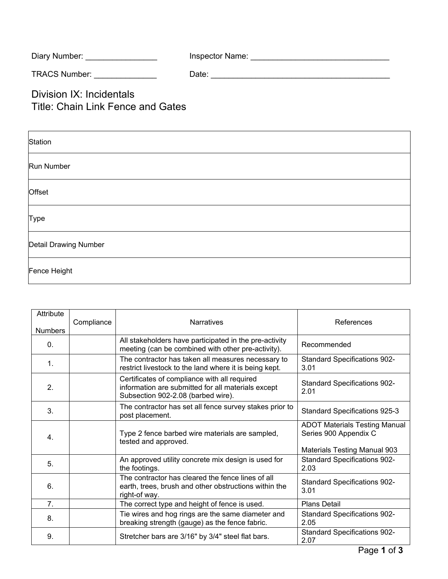| Diary Number: | Inspector Name: |
|---------------|-----------------|
|               |                 |

TRACS Number: \_\_\_\_\_\_\_\_\_\_\_\_\_\_ Date: \_\_\_\_\_\_\_\_\_\_\_\_\_\_\_\_\_\_\_\_\_\_\_\_\_\_\_\_\_\_\_\_\_\_\_\_\_\_\_\_

Division IX: Incidentals Title: Chain Link Fence and Gates

| Station               |
|-----------------------|
| Run Number            |
| Offset                |
| Type                  |
| Detail Drawing Number |
| Fence Height          |

| Attribute<br><b>Numbers</b> | Compliance | <b>Narratives</b>                                                                                                                        | References                                                                         |
|-----------------------------|------------|------------------------------------------------------------------------------------------------------------------------------------------|------------------------------------------------------------------------------------|
| 0.                          |            | All stakeholders have participated in the pre-activity<br>meeting (can be combined with other pre-activity).                             | Recommended                                                                        |
| $\mathbf{1}$ .              |            | The contractor has taken all measures necessary to<br>restrict livestock to the land where it is being kept.                             | <b>Standard Specifications 902-</b><br>3.01                                        |
| 2.                          |            | Certificates of compliance with all required<br>information are submitted for all materials except<br>Subsection 902-2.08 (barbed wire). | <b>Standard Specifications 902-</b><br>2.01                                        |
| 3 <sub>1</sub>              |            | The contractor has set all fence survey stakes prior to<br>post placement.                                                               | Standard Specifications 925-3                                                      |
| 4.                          |            | Type 2 fence barbed wire materials are sampled,<br>tested and approved.                                                                  | <b>ADOT Materials Testing Manual</b><br>Series 900 Appendix C                      |
| 5 <sub>1</sub>              |            | An approved utility concrete mix design is used for<br>the footings.                                                                     | <b>Materials Testing Manual 903</b><br><b>Standard Specifications 902-</b><br>2.03 |
| 6.                          |            | The contractor has cleared the fence lines of all<br>earth, trees, brush and other obstructions within the<br>right-of way.              | <b>Standard Specifications 902-</b><br>3.01                                        |
| 7 <sub>1</sub>              |            | The correct type and height of fence is used.                                                                                            | <b>Plans Detail</b>                                                                |
| 8.                          |            | Tie wires and hog rings are the same diameter and<br>breaking strength (gauge) as the fence fabric.                                      | <b>Standard Specifications 902-</b><br>2.05                                        |
| 9.                          |            | Stretcher bars are 3/16" by 3/4" steel flat bars.                                                                                        | <b>Standard Specifications 902-</b><br>2.07                                        |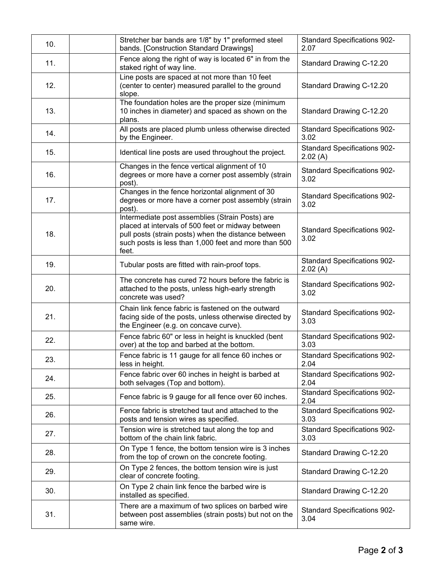| 10. | Stretcher bar bands are 1/8" by 1" preformed steel<br>bands. [Construction Standard Drawings]                                                                                                                                | <b>Standard Specifications 902-</b><br>2.07    |
|-----|------------------------------------------------------------------------------------------------------------------------------------------------------------------------------------------------------------------------------|------------------------------------------------|
| 11. | Fence along the right of way is located 6" in from the<br>staked right of way line.                                                                                                                                          | Standard Drawing C-12.20                       |
| 12. | Line posts are spaced at not more than 10 feet<br>(center to center) measured parallel to the ground<br>slope.                                                                                                               | Standard Drawing C-12.20                       |
| 13. | The foundation holes are the proper size (minimum<br>10 inches in diameter) and spaced as shown on the<br>plans.                                                                                                             | Standard Drawing C-12.20                       |
| 14. | All posts are placed plumb unless otherwise directed<br>by the Engineer.                                                                                                                                                     | <b>Standard Specifications 902-</b><br>3.02    |
| 15. | Identical line posts are used throughout the project.                                                                                                                                                                        | <b>Standard Specifications 902-</b><br>2.02(A) |
| 16. | Changes in the fence vertical alignment of 10<br>degrees or more have a corner post assembly (strain<br>post).                                                                                                               | <b>Standard Specifications 902-</b><br>3.02    |
| 17. | Changes in the fence horizontal alignment of 30<br>degrees or more have a corner post assembly (strain<br>post).                                                                                                             | <b>Standard Specifications 902-</b><br>3.02    |
| 18. | Intermediate post assemblies (Strain Posts) are<br>placed at intervals of 500 feet or midway between<br>pull posts (strain posts) when the distance between<br>such posts is less than 1,000 feet and more than 500<br>feet. | <b>Standard Specifications 902-</b><br>3.02    |
| 19. | Tubular posts are fitted with rain-proof tops.                                                                                                                                                                               | <b>Standard Specifications 902-</b><br>2.02(A) |
| 20. | The concrete has cured 72 hours before the fabric is<br>attached to the posts, unless high-early strength<br>concrete was used?                                                                                              | <b>Standard Specifications 902-</b><br>3.02    |
| 21. | Chain link fence fabric is fastened on the outward<br>facing side of the posts, unless otherwise directed by<br>the Engineer (e.g. on concave curve).                                                                        | <b>Standard Specifications 902-</b><br>3.03    |
| 22. | Fence fabric 60" or less in height is knuckled (bent<br>over) at the top and barbed at the bottom.                                                                                                                           | <b>Standard Specifications 902-</b><br>3.03    |
| 23. | Fence fabric is 11 gauge for all fence 60 inches or<br>less in height.                                                                                                                                                       | <b>Standard Specifications 902-</b><br>2.04    |
| 24. | Fence fabric over 60 inches in height is barbed at<br>both selvages (Top and bottom).                                                                                                                                        | <b>Standard Specifications 902-</b><br>2.04    |
| 25. | Fence fabric is 9 gauge for all fence over 60 inches.                                                                                                                                                                        | <b>Standard Specifications 902-</b><br>2.04    |
| 26. | Fence fabric is stretched taut and attached to the<br>posts and tension wires as specified.                                                                                                                                  | <b>Standard Specifications 902-</b><br>3.03    |
| 27. | Tension wire is stretched taut along the top and<br>bottom of the chain link fabric.                                                                                                                                         | <b>Standard Specifications 902-</b><br>3.03    |
| 28. | On Type 1 fence, the bottom tension wire is 3 inches<br>from the top of crown on the concrete footing.                                                                                                                       | Standard Drawing C-12.20                       |
| 29. | On Type 2 fences, the bottom tension wire is just<br>clear of concrete footing.                                                                                                                                              | Standard Drawing C-12.20                       |
| 30. | On Type 2 chain link fence the barbed wire is<br>installed as specified.                                                                                                                                                     | Standard Drawing C-12.20                       |
| 31. | There are a maximum of two splices on barbed wire<br>between post assemblies (strain posts) but not on the<br>same wire.                                                                                                     | <b>Standard Specifications 902-</b><br>3.04    |